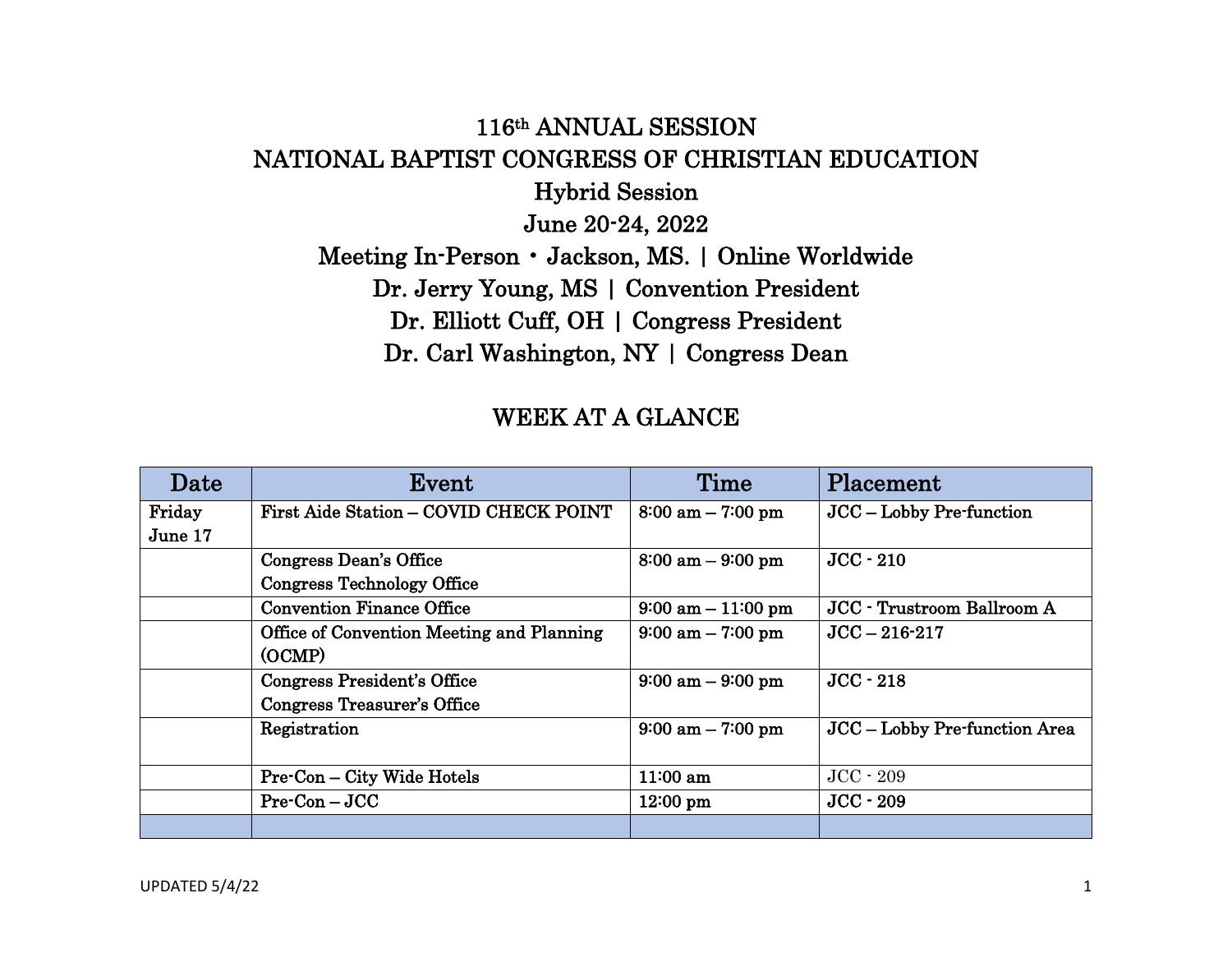## 116th ANNUAL SESSION NATIONAL BAPTIST CONGRESS OF CHRISTIAN EDUCATION Hybrid Session June 20-24, 2022 Meeting In-Person • Jackson, MS. | Online Worldwide Dr. Jerry Young, MS | Convention President Dr. Elliott Cuff, OH | Congress President Dr. Carl Washington, NY | Congress Dean

## WEEK AT A GLANCE

| Date    | Event                                               | Time                                 | Placement                         |
|---------|-----------------------------------------------------|--------------------------------------|-----------------------------------|
| Friday  | First Aide Station - COVID CHECK POINT              | $8:00 \text{ am} - 7:00 \text{ pm}$  | JCC - Lobby Pre-function          |
| June 17 |                                                     |                                      |                                   |
|         | Congress Dean's Office                              | $8:00$ am $-9:00$ pm                 | $JCC - 210$                       |
|         | <b>Congress Technology Office</b>                   |                                      |                                   |
|         | <b>Convention Finance Office</b>                    | $9:00 \text{ am} - 11:00 \text{ pm}$ | <b>JCC</b> - Trustroom Ballroom A |
|         | Office of Convention Meeting and Planning<br>(OCMP) | $9:00 \text{ am} - 7:00 \text{ pm}$  | $JCC - 216 - 217$                 |
|         | Congress President's Office                         | $9:00 \text{ am} - 9:00 \text{ pm}$  | $JCC - 218$                       |
|         | Congress Treasurer's Office                         |                                      |                                   |
|         | Registration                                        | $9:00 \text{ am} - 7:00 \text{ pm}$  | JCC – Lobby Pre-function Area     |
|         | <b>Pre-Con – City Wide Hotels</b>                   | $11:00$ am                           | $JCC - 209$                       |
|         | $Pre-Con-JCC$                                       | $12:00 \text{ pm}$                   | $JCC - 209$                       |
|         |                                                     |                                      |                                   |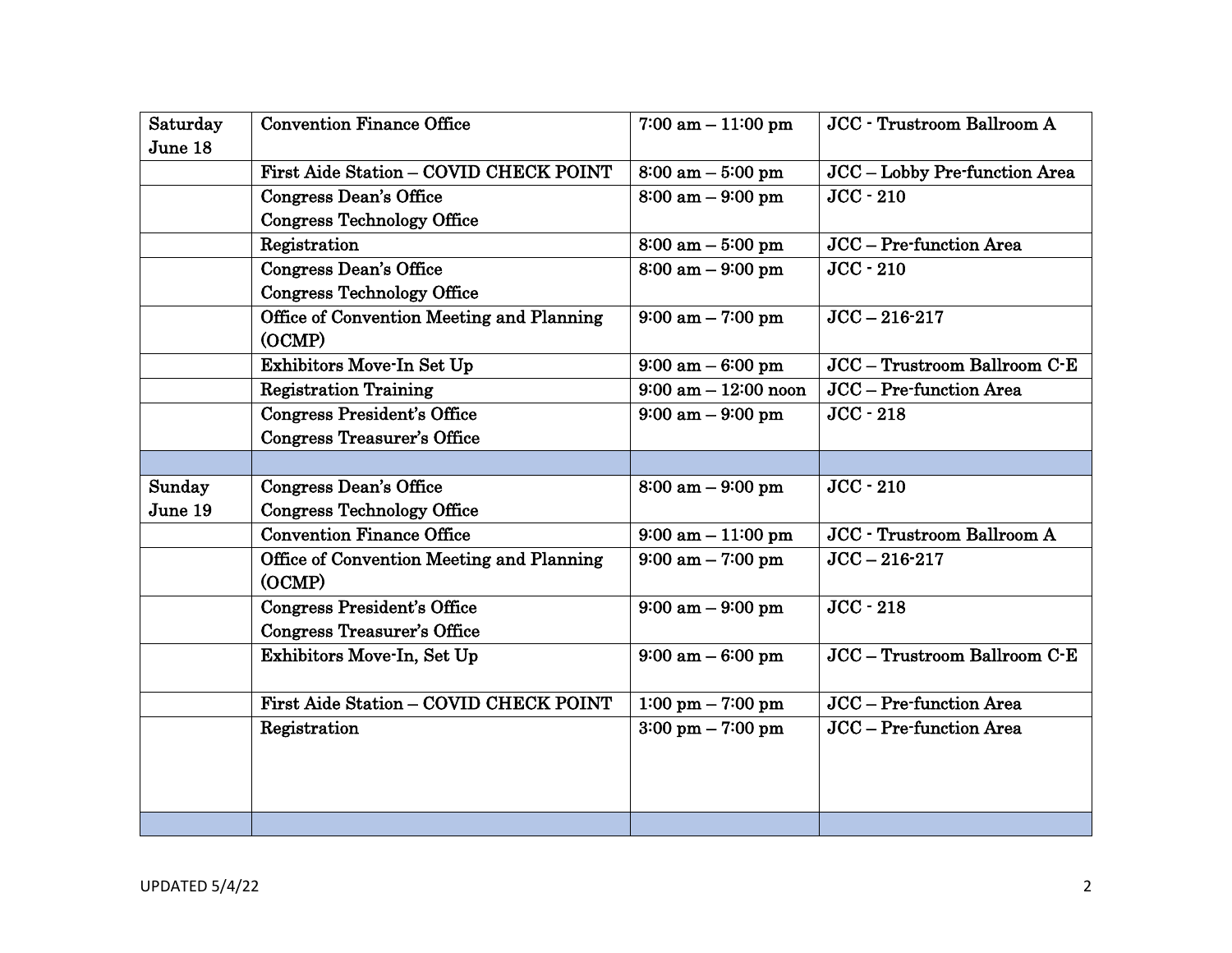| Saturday | <b>Convention Finance Office</b>          | $7:00$ am $-11:00$ pm               | <b>JCC</b> - Trustroom Ballroom A |
|----------|-------------------------------------------|-------------------------------------|-----------------------------------|
| June 18  |                                           |                                     |                                   |
|          | First Aide Station - COVID CHECK POINT    | $8:00$ am $-5:00$ pm                | JCC - Lobby Pre-function Area     |
|          | Congress Dean's Office                    | $8:00$ am $-9:00$ pm                | $JCC - 210$                       |
|          | <b>Congress Technology Office</b>         |                                     |                                   |
|          | Registration                              | $8:00 \text{ am} - 5:00 \text{ pm}$ | JCC - Pre-function Area           |
|          | <b>Congress Dean's Office</b>             | $8:00$ am $-9:00$ pm                | $JCC - 210$                       |
|          | <b>Congress Technology Office</b>         |                                     |                                   |
|          | Office of Convention Meeting and Planning | $9:00$ am $-7:00$ pm                | $JCC - 216 - 217$                 |
|          | (OCMP)                                    |                                     |                                   |
|          | Exhibitors Move-In Set Up                 | $9:00 \text{ am} - 6:00 \text{ pm}$ | JCC - Trustroom Ballroom C-E      |
|          | <b>Registration Training</b>              | $9:00$ am $-12:00$ noon             | JCC - Pre-function Area           |
|          | <b>Congress President's Office</b>        | $9:00 \text{ am} - 9:00 \text{ pm}$ | $JCC - 218$                       |
|          | <b>Congress Treasurer's Office</b>        |                                     |                                   |
|          |                                           |                                     |                                   |
| Sunday   | <b>Congress Dean's Office</b>             | $8:00$ am $-9:00$ pm                | $JCC - 210$                       |
| June 19  | <b>Congress Technology Office</b>         |                                     |                                   |
|          | <b>Convention Finance Office</b>          | $9:00$ am $-11:00$ pm               | JCC - Trustroom Ballroom A        |
|          | Office of Convention Meeting and Planning | $9:00$ am $-7:00$ pm                | $JCC - 216 - 217$                 |
|          | (OCMP)                                    |                                     |                                   |
|          | <b>Congress President's Office</b>        | $9:00 \text{ am} - 9:00 \text{ pm}$ | $JCC - 218$                       |
|          | <b>Congress Treasurer's Office</b>        |                                     |                                   |
|          | Exhibitors Move-In, Set Up                | $9:00$ am $-6:00$ pm                | JCC - Trustroom Ballroom C-E      |
|          |                                           |                                     |                                   |
|          | First Aide Station - COVID CHECK POINT    | 1:00 pm $-$ 7:00 pm                 | JCC - Pre-function Area           |
|          | Registration                              | $3:00 \text{ pm} - 7:00 \text{ pm}$ | JCC - Pre-function Area           |
|          |                                           |                                     |                                   |
|          |                                           |                                     |                                   |
|          |                                           |                                     |                                   |
|          |                                           |                                     |                                   |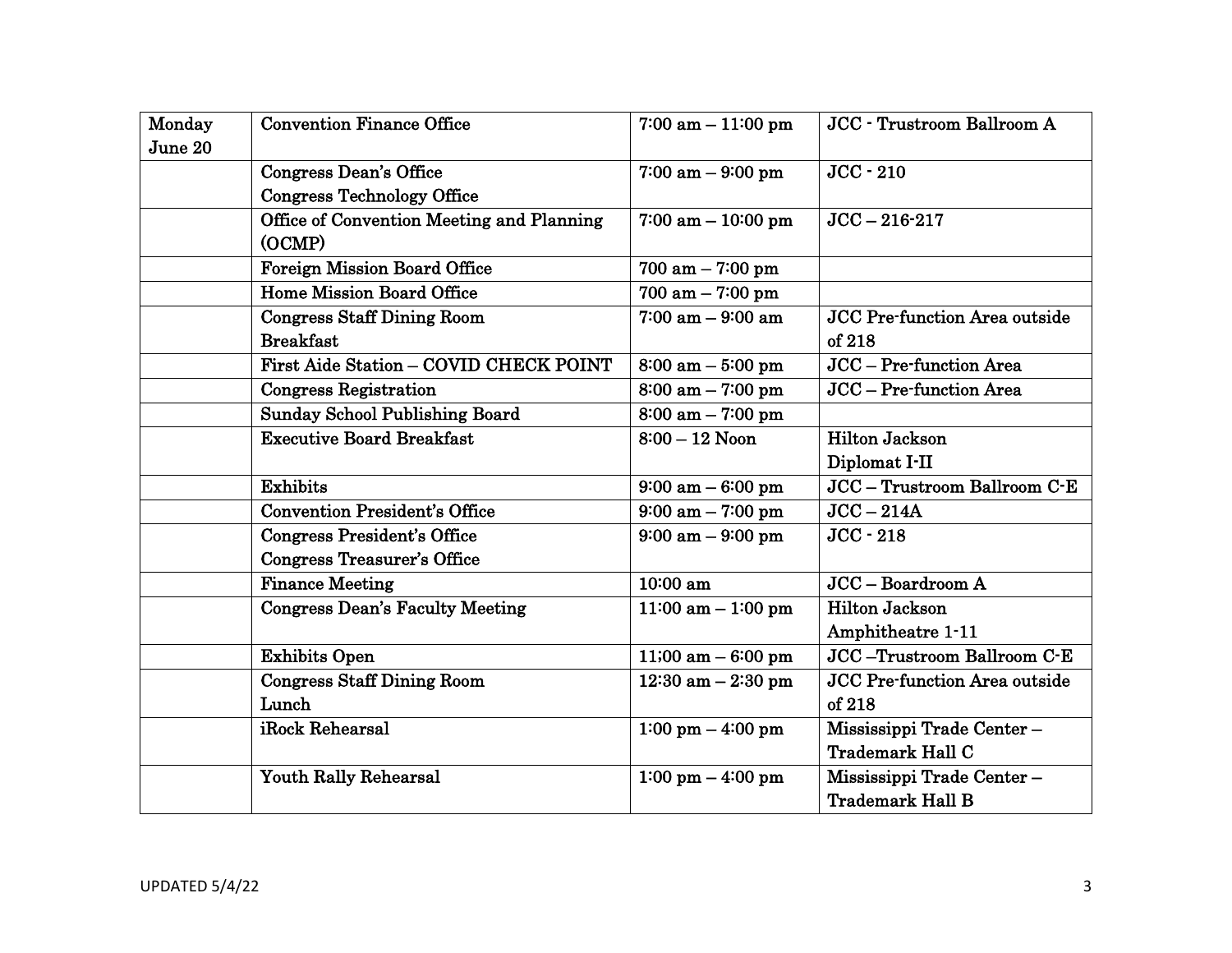| Monday  | <b>Convention Finance Office</b>          | $7:00$ am $-11:00$ pm               | JCC - Trustroom Ballroom A           |
|---------|-------------------------------------------|-------------------------------------|--------------------------------------|
| June 20 |                                           |                                     |                                      |
|         | <b>Congress Dean's Office</b>             | $7:00$ am $-9:00$ pm                | $JCC - 210$                          |
|         | <b>Congress Technology Office</b>         |                                     |                                      |
|         | Office of Convention Meeting and Planning | $7:00$ am $-10:00$ pm               | $JCC - 216 - 217$                    |
|         | (OCMP)                                    |                                     |                                      |
|         | <b>Foreign Mission Board Office</b>       | $700$ am $-7:00$ pm                 |                                      |
|         | <b>Home Mission Board Office</b>          | $700$ am $-7:00$ pm                 |                                      |
|         | <b>Congress Staff Dining Room</b>         | $7:00$ am $-9:00$ am                | <b>JCC Pre-function Area outside</b> |
|         | <b>Breakfast</b>                          |                                     | of 218                               |
|         | First Aide Station - COVID CHECK POINT    | $8:00$ am $-5:00$ pm                | JCC - Pre-function Area              |
|         | Congress Registration                     | $8:00 \text{ am} - 7:00 \text{ pm}$ | JCC - Pre-function Area              |
|         | <b>Sunday School Publishing Board</b>     | $8:00$ am $-7:00$ pm                |                                      |
|         | <b>Executive Board Breakfast</b>          | $8:00 - 12$ Noon                    | <b>Hilton Jackson</b>                |
|         |                                           |                                     | Diplomat I-II                        |
|         | <b>Exhibits</b>                           | $9:00 \text{ am} - 6:00 \text{ pm}$ | JCC - Trustroom Ballroom C-E         |
|         | <b>Convention President's Office</b>      | $9:00 \text{ am} - 7:00 \text{ pm}$ | $JCC - 214A$                         |
|         | <b>Congress President's Office</b>        | $9:00 \text{ am} - 9:00 \text{ pm}$ | $JCC - 218$                          |
|         | <b>Congress Treasurer's Office</b>        |                                     |                                      |
|         | <b>Finance Meeting</b>                    | 10:00 am                            | $JCC - Boardroom A$                  |
|         | <b>Congress Dean's Faculty Meeting</b>    | $11:00$ am $-1:00$ pm               | <b>Hilton Jackson</b>                |
|         |                                           |                                     | Amphitheatre 1-11                    |
|         | <b>Exhibits Open</b>                      | 11;00 am $-$ 6:00 pm                | JCC-Trustroom Ballroom C-E           |
|         | <b>Congress Staff Dining Room</b>         | $12:30$ am $-2:30$ pm               | <b>JCC Pre-function Area outside</b> |
|         | Lunch                                     |                                     | of 218                               |
|         | iRock Rehearsal                           | $1:00 \text{ pm} - 4:00 \text{ pm}$ | Mississippi Trade Center-            |
|         |                                           |                                     | <b>Trademark Hall C</b>              |
|         | <b>Youth Rally Rehearsal</b>              | $1:00 \text{ pm} - 4:00 \text{ pm}$ | Mississippi Trade Center-            |
|         |                                           |                                     | <b>Trademark Hall B</b>              |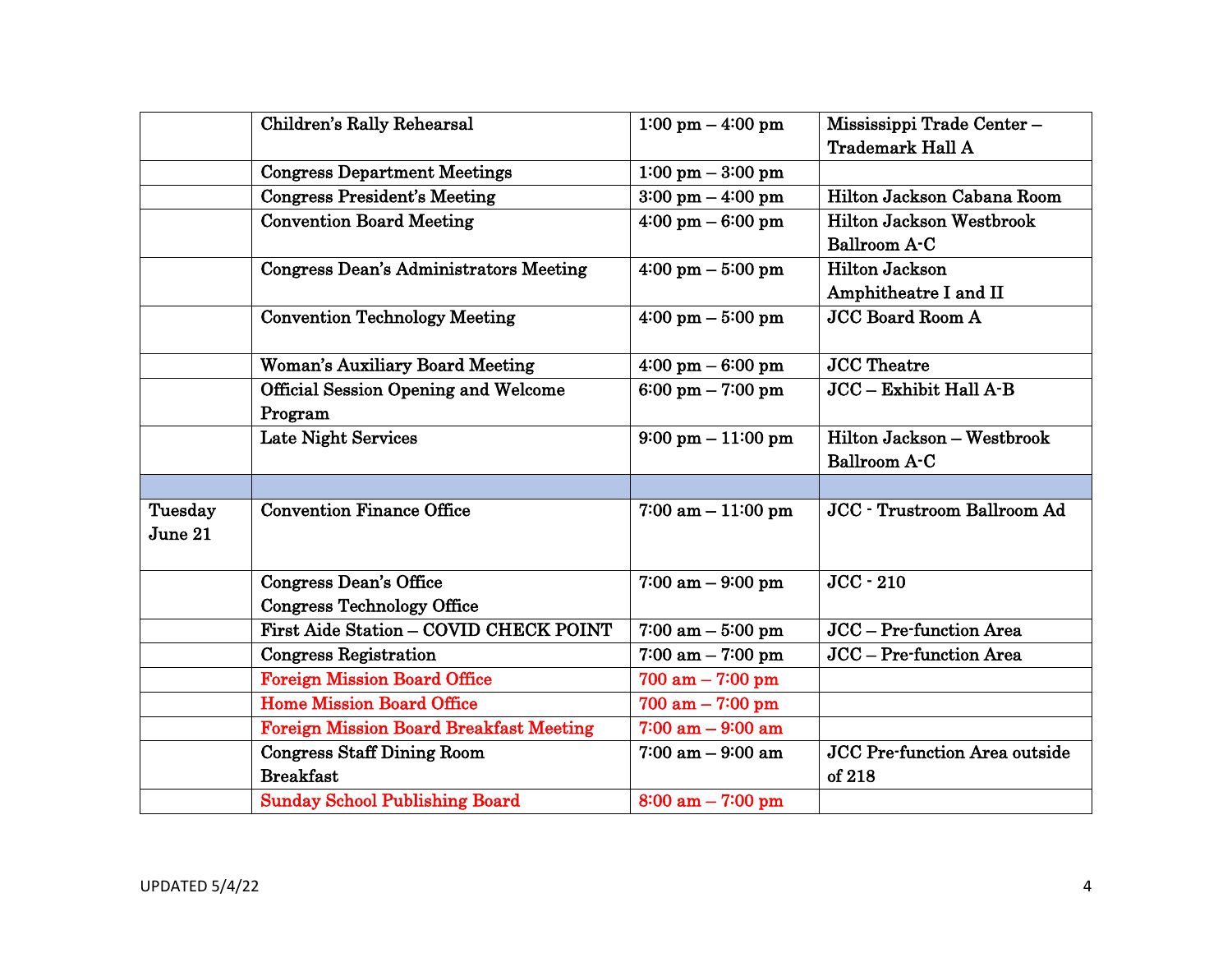|         | Children's Rally Rehearsal                     | $1:00 \text{ pm} - 4:00 \text{ pm}$  | Mississippi Trade Center-            |
|---------|------------------------------------------------|--------------------------------------|--------------------------------------|
|         |                                                |                                      | <b>Trademark Hall A</b>              |
|         | <b>Congress Department Meetings</b>            | $1:00 \text{ pm} - 3:00 \text{ pm}$  |                                      |
|         | <b>Congress President's Meeting</b>            | $3:00 \text{ pm} - 4:00 \text{ pm}$  | Hilton Jackson Cabana Room           |
|         | <b>Convention Board Meeting</b>                | $4:00 \text{ pm} - 6:00 \text{ pm}$  | <b>Hilton Jackson Westbrook</b>      |
|         |                                                |                                      | Ballroom A-C                         |
|         | <b>Congress Dean's Administrators Meeting</b>  | $4:00 \text{ pm} - 5:00 \text{ pm}$  | <b>Hilton Jackson</b>                |
|         |                                                |                                      | Amphitheatre I and II                |
|         | <b>Convention Technology Meeting</b>           | $4:00 \text{ pm} - 5:00 \text{ pm}$  | <b>JCC Board Room A</b>              |
|         |                                                |                                      |                                      |
|         | <b>Woman's Auxiliary Board Meeting</b>         | $4:00 \text{ pm} - 6:00 \text{ pm}$  | <b>JCC</b> Theatre                   |
|         | <b>Official Session Opening and Welcome</b>    | $6:00 \text{ pm} - 7:00 \text{ pm}$  | JCC - Exhibit Hall A-B               |
|         | Program                                        |                                      |                                      |
|         | Late Night Services                            | $9:00 \text{ pm} - 11:00 \text{ pm}$ | Hilton Jackson - Westbrook           |
|         |                                                |                                      | <b>Ballroom A-C</b>                  |
|         |                                                |                                      |                                      |
| Tuesday | Convention Finance Office                      | $7:00$ am $-11:00$ pm                | JCC - Trustroom Ballroom Ad          |
| June 21 |                                                |                                      |                                      |
|         |                                                |                                      |                                      |
|         | <b>Congress Dean's Office</b>                  | $7:00$ am $-9:00$ pm                 | $JCC - 210$                          |
|         | <b>Congress Technology Office</b>              |                                      |                                      |
|         | First Aide Station - COVID CHECK POINT         | $7:00$ am $-5:00$ pm                 | JCC - Pre-function Area              |
|         | <b>Congress Registration</b>                   | $7:00$ am $-7:00$ pm                 | JCC - Pre-function Area              |
|         | <b>Foreign Mission Board Office</b>            | $700$ am $- 7:00$ pm                 |                                      |
|         | <b>Home Mission Board Office</b>               | $700$ am $- 7:00$ pm                 |                                      |
|         | <b>Foreign Mission Board Breakfast Meeting</b> | $7:00$ am $-9:00$ am                 |                                      |
|         | <b>Congress Staff Dining Room</b>              | $7:00$ am $-9:00$ am                 | <b>JCC Pre-function Area outside</b> |
|         | <b>Breakfast</b>                               |                                      | of 218                               |
|         | <b>Sunday School Publishing Board</b>          | $8:00$ am $-7:00$ pm                 |                                      |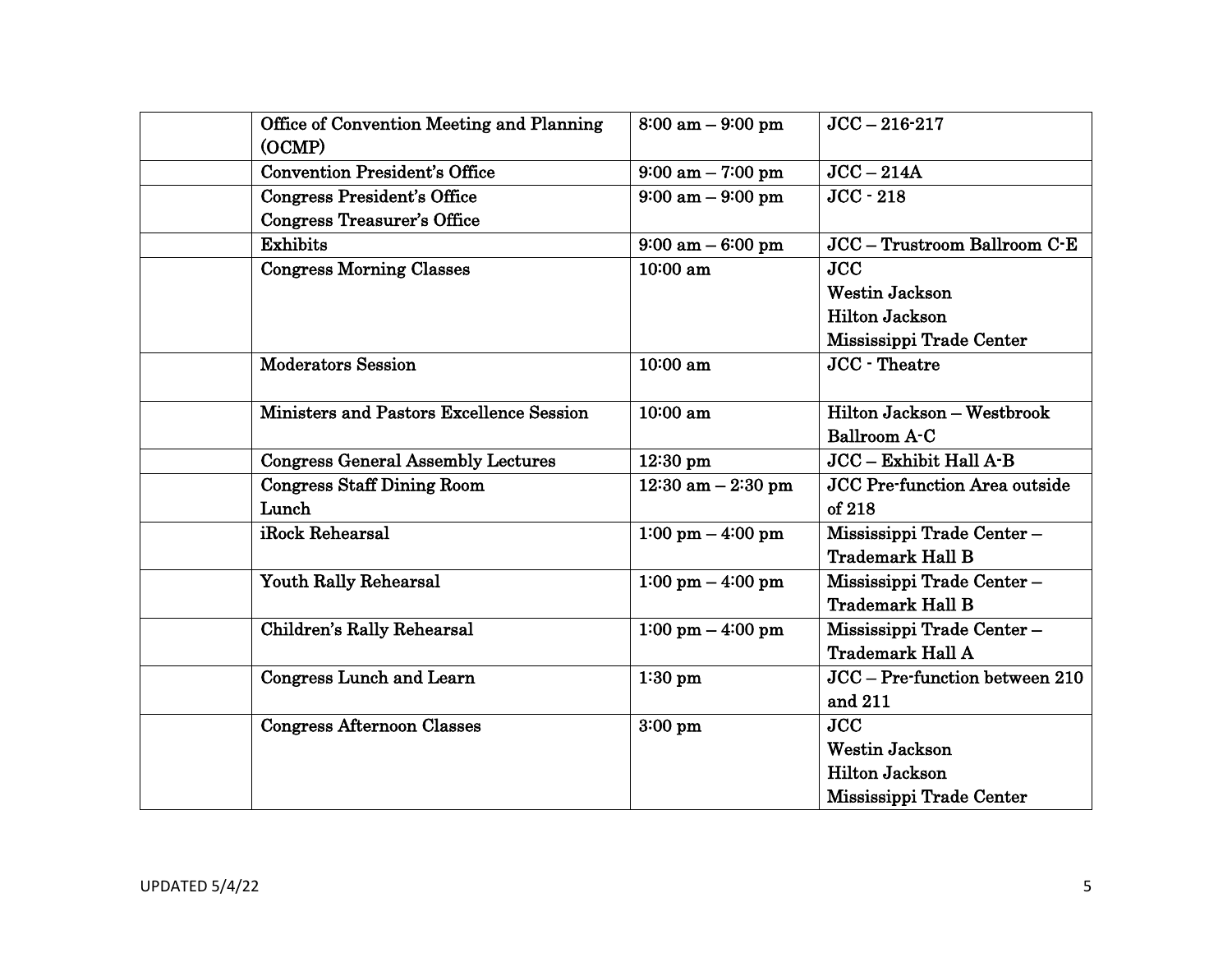| Office of Convention Meeting and Planning<br>(OCMP) | $8:00$ am $-9:00$ pm                | $JCC - 216 - 217$                    |
|-----------------------------------------------------|-------------------------------------|--------------------------------------|
| <b>Convention President's Office</b>                | $9:00 \text{ am} - 7:00 \text{ pm}$ | $JCC - 214A$                         |
| <b>Congress President's Office</b>                  | $9:00 \text{ am} - 9:00 \text{ pm}$ | $JCC - 218$                          |
| <b>Congress Treasurer's Office</b>                  |                                     |                                      |
| Exhibits                                            | $9:00 \text{ am} - 6:00 \text{ pm}$ | JCC - Trustroom Ballroom C-E         |
| <b>Congress Morning Classes</b>                     | 10:00 am                            | <b>JCC</b>                           |
|                                                     |                                     | <b>Westin Jackson</b>                |
|                                                     |                                     | <b>Hilton Jackson</b>                |
|                                                     |                                     | Mississippi Trade Center             |
| <b>Moderators Session</b>                           | 10:00 am                            | JCC - Theatre                        |
| Ministers and Pastors Excellence Session            | 10:00 am                            | Hilton Jackson - Westbrook           |
|                                                     |                                     | Ballroom A-C                         |
| <b>Congress General Assembly Lectures</b>           | $12:30 \text{ pm}$                  | JCC - Exhibit Hall A-B               |
| <b>Congress Staff Dining Room</b>                   | $12:30$ am $-2:30$ pm               | <b>JCC Pre-function Area outside</b> |
| Lunch                                               |                                     | of 218                               |
| iRock Rehearsal                                     | $1:00 \text{ pm} - 4:00 \text{ pm}$ | Mississippi Trade Center-            |
|                                                     |                                     | <b>Trademark Hall B</b>              |
| <b>Youth Rally Rehearsal</b>                        | $1:00 \text{ pm} - 4:00 \text{ pm}$ | Mississippi Trade Center-            |
|                                                     |                                     | <b>Trademark Hall B</b>              |
| Children's Rally Rehearsal                          | $1:00 \text{ pm} - 4:00 \text{ pm}$ | Mississippi Trade Center-            |
|                                                     |                                     | <b>Trademark Hall A</b>              |
| <b>Congress Lunch and Learn</b>                     | $1:30$ pm                           | JCC - Pre-function between 210       |
|                                                     |                                     | and 211                              |
| <b>Congress Afternoon Classes</b>                   | $3:00$ pm                           | <b>JCC</b>                           |
|                                                     |                                     | <b>Westin Jackson</b>                |
|                                                     |                                     | <b>Hilton Jackson</b>                |
|                                                     |                                     | Mississippi Trade Center             |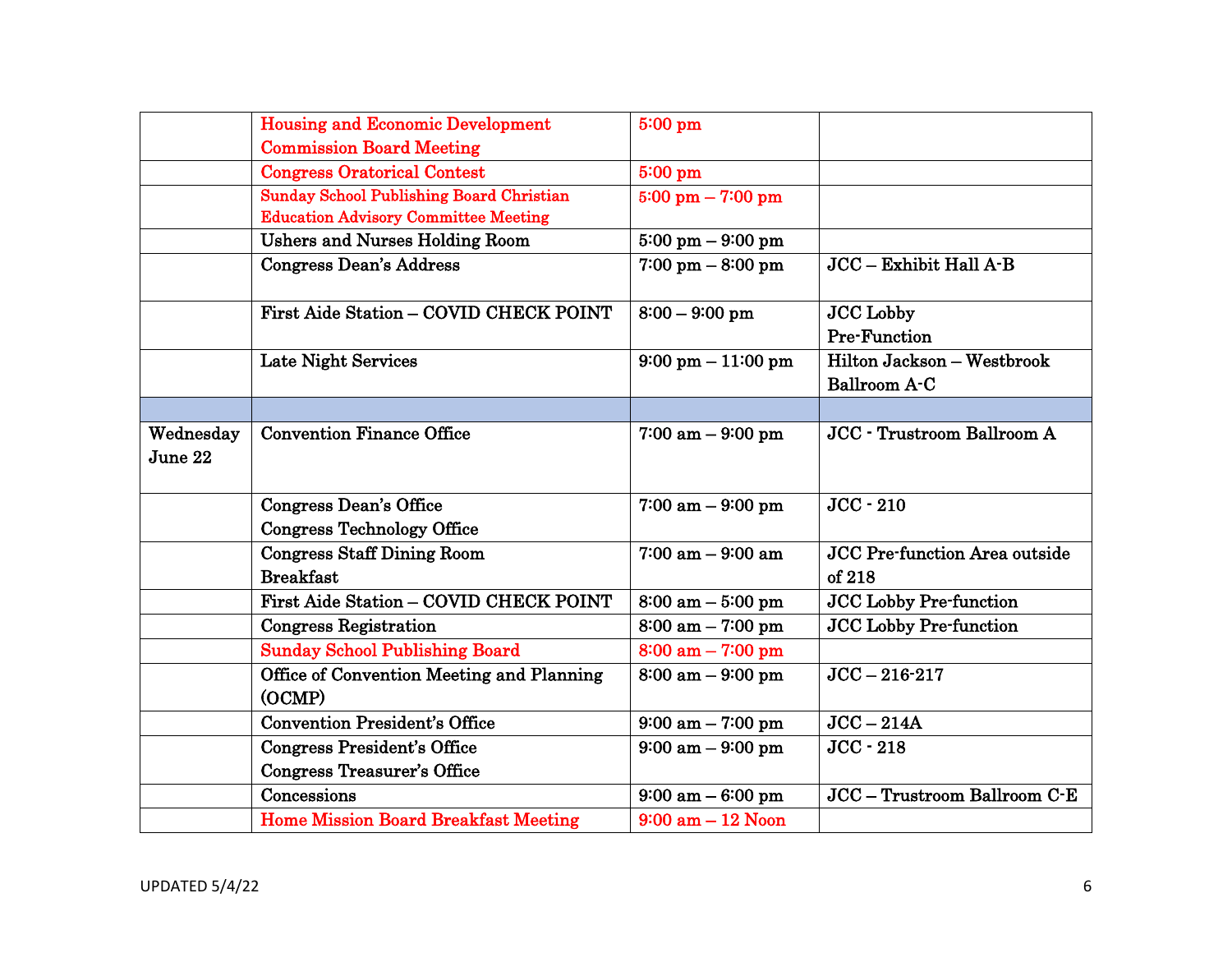|           | <b>Housing and Economic Development</b>     | 5:00 pm                              |                               |
|-----------|---------------------------------------------|--------------------------------------|-------------------------------|
|           | <b>Commission Board Meeting</b>             |                                      |                               |
|           | <b>Congress Oratorical Contest</b>          | 5:00 pm                              |                               |
|           | Sunday School Publishing Board Christian    | $5:00 \text{ pm} - 7:00 \text{ pm}$  |                               |
|           | <b>Education Advisory Committee Meeting</b> |                                      |                               |
|           | <b>Ushers and Nurses Holding Room</b>       | $5:00 \text{ pm} - 9:00 \text{ pm}$  |                               |
|           | <b>Congress Dean's Address</b>              | $7:00 \text{ pm} - 8:00 \text{ pm}$  | JCC - Exhibit Hall A-B        |
|           | First Aide Station - COVID CHECK POINT      | $8:00 - 9:00$ pm                     | <b>JCC</b> Lobby              |
|           |                                             |                                      | <b>Pre-Function</b>           |
|           | Late Night Services                         | $9:00 \text{ pm} - 11:00 \text{ pm}$ | Hilton Jackson - Westbrook    |
|           |                                             |                                      | Ballroom A-C                  |
|           |                                             |                                      |                               |
| Wednesday | <b>Convention Finance Office</b>            | $7:00$ am $-9:00$ pm                 | JCC - Trustroom Ballroom A    |
| June 22   |                                             |                                      |                               |
|           | <b>Congress Dean's Office</b>               | $7:00$ am $-9:00$ pm                 | $JCC - 210$                   |
|           | <b>Congress Technology Office</b>           |                                      |                               |
|           | <b>Congress Staff Dining Room</b>           | $7:00$ am $-9:00$ am                 | JCC Pre-function Area outside |
|           | <b>Breakfast</b>                            |                                      | of 218                        |
|           | First Aide Station - COVID CHECK POINT      | $8:00 \text{ am} - 5:00 \text{ pm}$  | <b>JCC Lobby Pre-function</b> |
|           | <b>Congress Registration</b>                | $8:00$ am $-7:00$ pm                 | <b>JCC Lobby Pre-function</b> |
|           | <b>Sunday School Publishing Board</b>       | $8:00$ am $-7:00$ pm                 |                               |
|           | Office of Convention Meeting and Planning   | $8:00$ am $-9:00$ pm                 | $JCC - 216 - 217$             |
|           | (OCMP)                                      |                                      |                               |
|           | <b>Convention President's Office</b>        | $9:00 \text{ am} - 7:00 \text{ pm}$  | $JCC - 214A$                  |
|           | <b>Congress President's Office</b>          | $9:00 \text{ am} - 9:00 \text{ pm}$  | $JCC - 218$                   |
|           | <b>Congress Treasurer's Office</b>          |                                      |                               |
|           | Concessions                                 | $9:00 \text{ am} - 6:00 \text{ pm}$  | JCC - Trustroom Ballroom C-E  |
|           | <b>Home Mission Board Breakfast Meeting</b> | $9:00$ am $-12$ Noon                 |                               |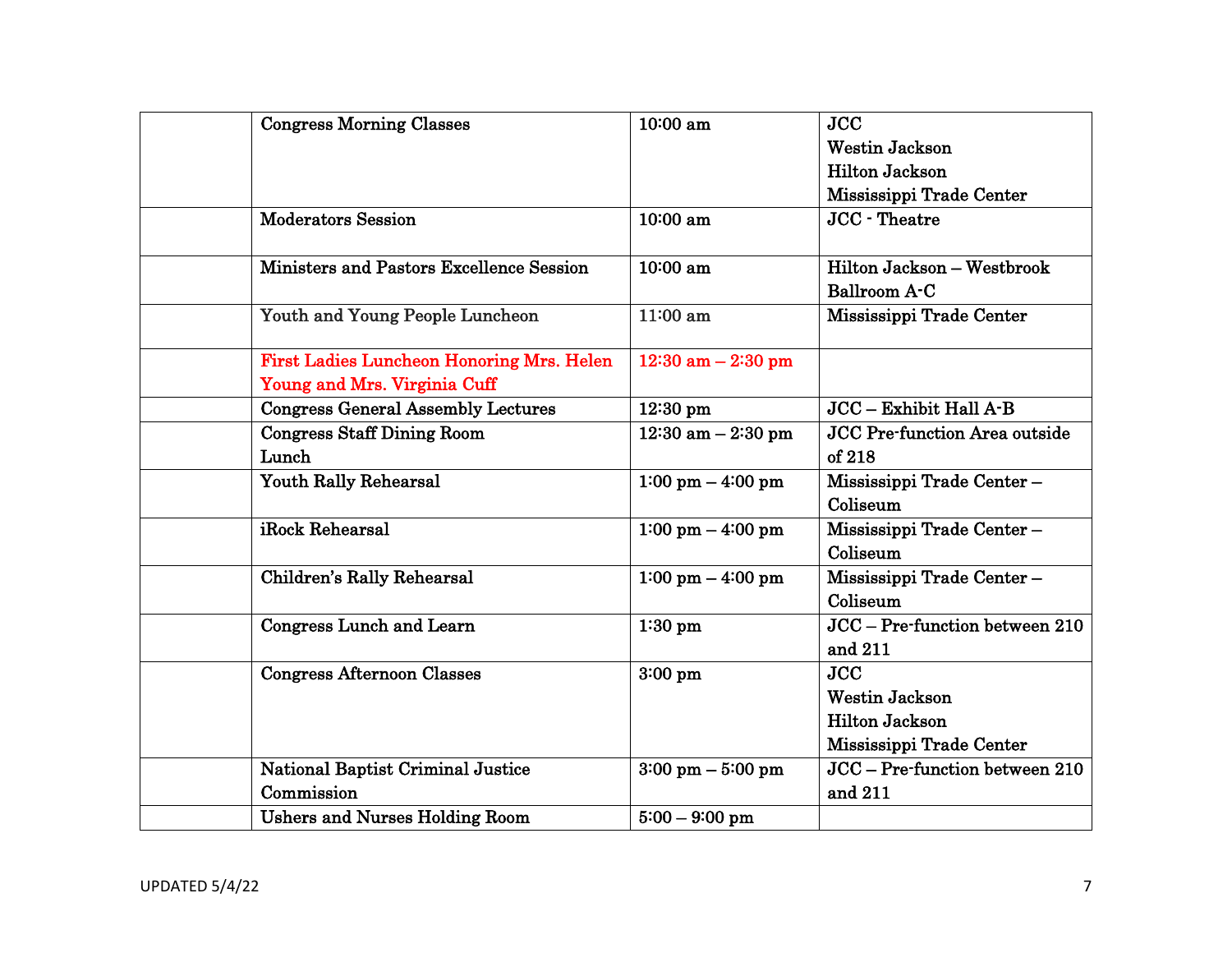| <b>Congress Morning Classes</b>                  | 10:00 am                            | <b>JCC</b>                     |
|--------------------------------------------------|-------------------------------------|--------------------------------|
|                                                  |                                     | <b>Westin Jackson</b>          |
|                                                  |                                     | <b>Hilton Jackson</b>          |
|                                                  |                                     | Mississippi Trade Center       |
| <b>Moderators Session</b>                        | 10:00 am                            | <b>JCC</b> - Theatre           |
|                                                  |                                     |                                |
| Ministers and Pastors Excellence Session         | 10:00 am                            | Hilton Jackson - Westbrook     |
|                                                  |                                     | Ballroom A-C                   |
| Youth and Young People Luncheon                  | 11:00 am                            | Mississippi Trade Center       |
|                                                  |                                     |                                |
| <b>First Ladies Luncheon Honoring Mrs. Helen</b> | $12:30$ am $-2:30$ pm               |                                |
| Young and Mrs. Virginia Cuff                     |                                     |                                |
| <b>Congress General Assembly Lectures</b>        | $12:30$ pm                          | $JCC - Exhibit Hall A-B$       |
| <b>Congress Staff Dining Room</b>                | $12:30$ am $-2:30$ pm               | JCC Pre-function Area outside  |
| Lunch                                            |                                     | of 218                         |
| Youth Rally Rehearsal                            | $1:00 \text{ pm} - 4:00 \text{ pm}$ | Mississippi Trade Center-      |
|                                                  |                                     | Coliseum                       |
| iRock Rehearsal                                  | $1:00 \text{ pm} - 4:00 \text{ pm}$ | Mississippi Trade Center-      |
|                                                  |                                     | Coliseum                       |
| Children's Rally Rehearsal                       | $1:00 \text{ pm} - 4:00 \text{ pm}$ | Mississippi Trade Center-      |
|                                                  |                                     | Coliseum                       |
| <b>Congress Lunch and Learn</b>                  | $1:30$ pm                           | JCC - Pre-function between 210 |
|                                                  |                                     | and 211                        |
| <b>Congress Afternoon Classes</b>                | $3:00$ pm                           | <b>JCC</b>                     |
|                                                  |                                     | <b>Westin Jackson</b>          |
|                                                  |                                     | <b>Hilton Jackson</b>          |
|                                                  |                                     | Mississippi Trade Center       |
| National Baptist Criminal Justice                | $3:00 \text{ pm} - 5:00 \text{ pm}$ | JCC - Pre-function between 210 |
| Commission                                       |                                     | and 211                        |
| <b>Ushers and Nurses Holding Room</b>            | $5:00 - 9:00$ pm                    |                                |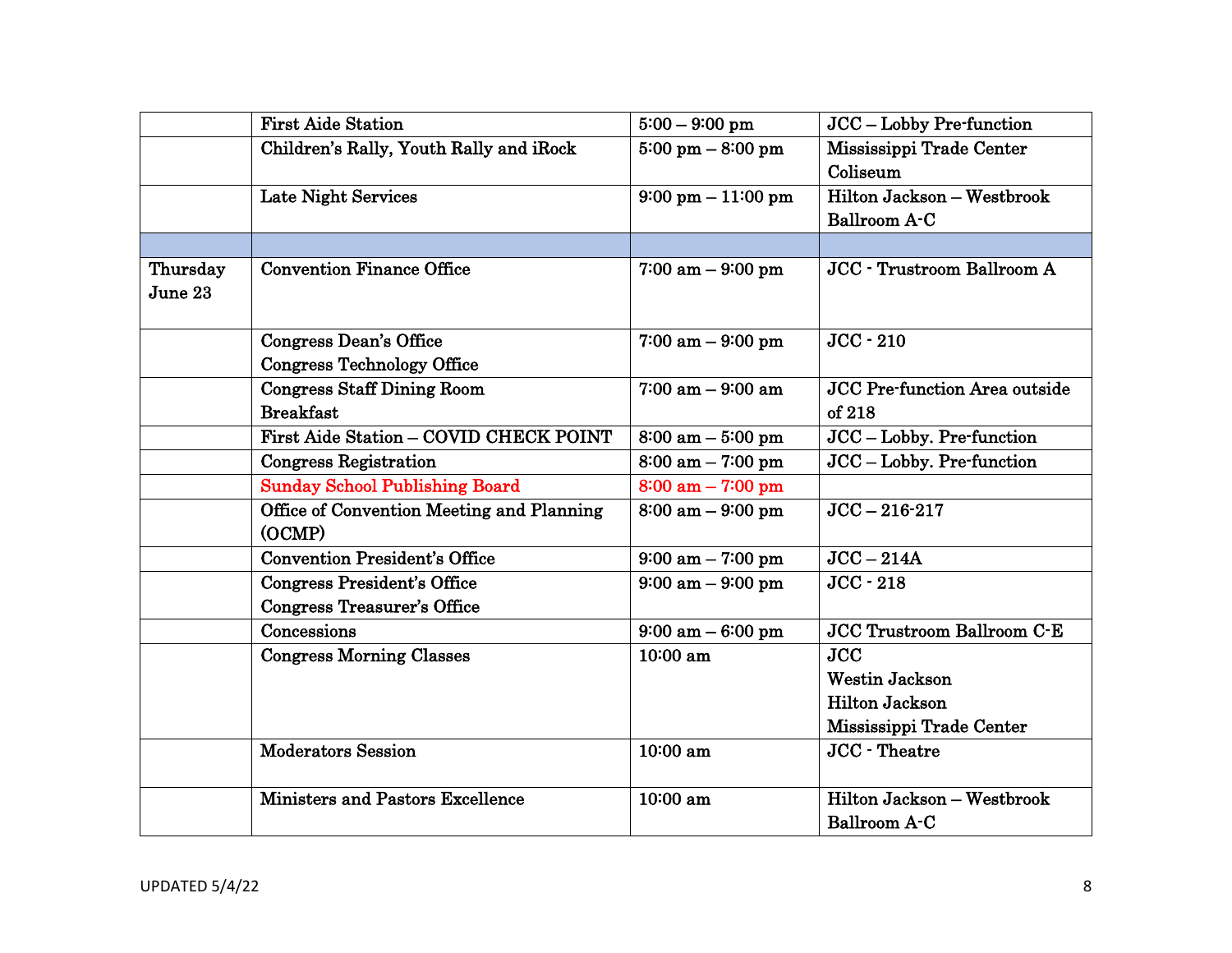|                     | <b>First Aide Station</b>                           | $5:00 - 9:00$ pm                     | JCC - Lobby Pre-function             |
|---------------------|-----------------------------------------------------|--------------------------------------|--------------------------------------|
|                     | Children's Rally, Youth Rally and iRock             | $5:00 \text{ pm} - 8:00 \text{ pm}$  | Mississippi Trade Center             |
|                     |                                                     |                                      | Coliseum                             |
|                     | <b>Late Night Services</b>                          | $9:00 \text{ pm} - 11:00 \text{ pm}$ | Hilton Jackson - Westbrook           |
|                     |                                                     |                                      | Ballroom A-C                         |
|                     |                                                     |                                      |                                      |
| Thursday<br>June 23 | <b>Convention Finance Office</b>                    | $7:00$ am $-9:00$ pm                 | <b>JCC</b> - Trustroom Ballroom A    |
|                     |                                                     |                                      |                                      |
|                     | <b>Congress Dean's Office</b>                       | $7:00$ am $-9:00$ pm                 | $JCC - 210$                          |
|                     | <b>Congress Technology Office</b>                   |                                      |                                      |
|                     | <b>Congress Staff Dining Room</b>                   | $7:00$ am $-9:00$ am                 | <b>JCC Pre-function Area outside</b> |
|                     | <b>Breakfast</b>                                    |                                      | of 218                               |
|                     | First Aide Station - COVID CHECK POINT              | $8:00$ am $-5:00$ pm                 | JCC - Lobby. Pre-function            |
|                     | <b>Congress Registration</b>                        | $8:00$ am $-7:00$ pm                 | JCC - Lobby. Pre-function            |
|                     | <b>Sunday School Publishing Board</b>               | $8:00 \text{ am} - 7:00 \text{ pm}$  |                                      |
|                     | Office of Convention Meeting and Planning<br>(OCMP) | $8:00$ am $-9:00$ pm                 | $JCC - 216 - 217$                    |
|                     | <b>Convention President's Office</b>                | $9:00 \text{ am} - 7:00 \text{ pm}$  | $JCC - 214A$                         |
|                     | <b>Congress President's Office</b>                  | $9:00 \text{ am} - 9:00 \text{ pm}$  | $JCC - 218$                          |
|                     | <b>Congress Treasurer's Office</b>                  |                                      |                                      |
|                     | Concessions                                         | $9:00$ am $-6:00$ pm                 | <b>JCC Trustroom Ballroom C-E</b>    |
|                     | <b>Congress Morning Classes</b>                     | $10:00$ am                           | <b>JCC</b>                           |
|                     |                                                     |                                      | <b>Westin Jackson</b>                |
|                     |                                                     |                                      | <b>Hilton Jackson</b>                |
|                     |                                                     |                                      | Mississippi Trade Center             |
|                     | <b>Moderators Session</b>                           | 10:00 am                             | JCC - Theatre                        |
|                     | <b>Ministers and Pastors Excellence</b>             | 10:00 am                             | Hilton Jackson - Westbrook           |
|                     |                                                     |                                      | <b>Ballroom A-C</b>                  |